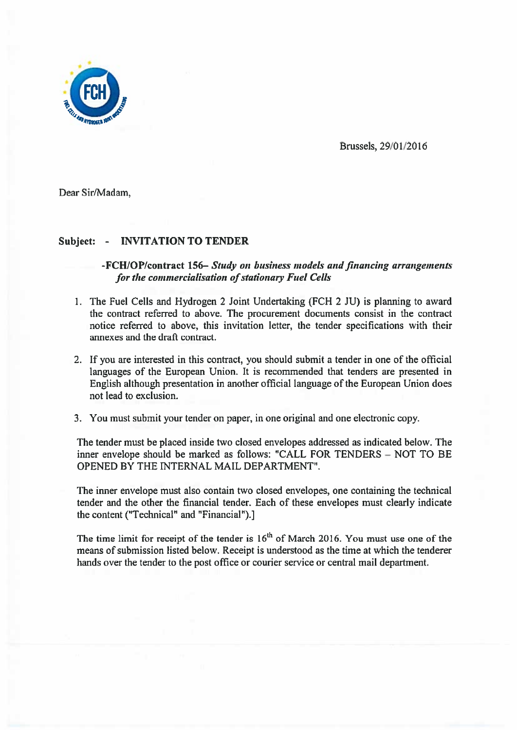

Brussels, 29/01/20 16

Dear Sir/Madam,

## Subject: - INVITATION TO TENDER

## -FCH/OP/contract 156— Study on business models and financing arrangements for the commercialisation of stationary Fuel Cells

- 1. The Fuel Cells and Hydrogen 2 Joint Undertaking (FCH 2 JU) is planning to award the contract referred to above. The procuremen<sup>t</sup> documents consist in the contract notice referred to above, this invitation letter, the tender specifications with their annexes and the draft contract.
- 2. If you are interested in this contract, you should submit <sup>a</sup> tender in one of the official languages of the European Union. It is recommended that tenders are presented in English although presentation in another official language of the European Union does not lead to exclusion.
- 3. You must submit your tender on paper, in one original and one electronic copy.

The tender must be placed inside two closed envelopes addressed as indicated below. The inner envelope should be marked as follows: "CALL FOR TENDERS — NOT TO BE OPENED BY THE INTERNAL MAIL DEPARTMENT".

The inner envelope must also contain two closed envelopes, one containing the technical tender and the other the financial tender. Each of these envelopes must clearly indicate the content ("Technical" and "Financial").]

The time limit for receipt of the tender is  $16<sup>th</sup>$  of March 2016. You must use one of the means of submission listed below. Receipt is understood as the time at which the tenderer hands over the tender to the pos<sup>t</sup> office or courier service or central mail department.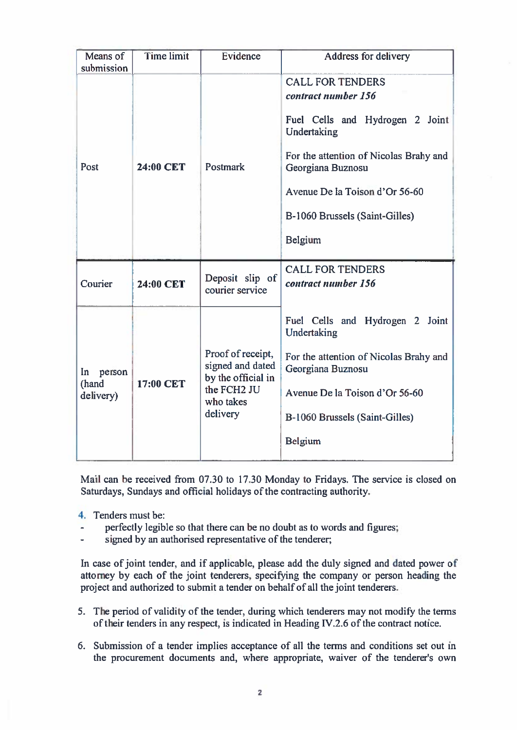| Means of<br>submission                | <b>Time limit</b> | Evidence                                                                                            | Address for delivery                                                                                                                                                                                                                           |
|---------------------------------------|-------------------|-----------------------------------------------------------------------------------------------------|------------------------------------------------------------------------------------------------------------------------------------------------------------------------------------------------------------------------------------------------|
| Post                                  | 24:00 CET         | Postmark                                                                                            | <b>CALL FOR TENDERS</b><br>contract number 156<br>Fuel Cells and Hydrogen 2 Joint<br>Undertaking<br>For the attention of Nicolas Brahy and<br>Georgiana Buznosu<br>Avenue De la Toison d'Or 56-60<br>B-1060 Brussels (Saint-Gilles)<br>Belgium |
| Courier                               | 24:00 CET         | Deposit slip of<br>courier service                                                                  | <b>CALL FOR TENDERS</b><br>contract number 156                                                                                                                                                                                                 |
| $\ln$<br>person<br>(hand<br>delivery) | 17:00 CET         | Proof of receipt,<br>signed and dated<br>by the official in<br>the FCH2 JU<br>who takes<br>delivery | Fuel Cells and Hydrogen 2 Joint<br>Undertaking<br>For the attention of Nicolas Brahy and<br>Georgiana Buznosu<br>Avenue De la Toison d'Or 56-60<br>B-1060 Brussels (Saint-Gilles)<br><b>Belgium</b>                                            |

Mail can be received from 07.30 to 17.30 Monday to Fridays. The service is closed on Saturdays, Sundays and official holidays of the contracting authority.

- 4. Tenders must be:
- perfectly legible so that there can be no doubt as to words and figures;
- signed by an authorised representative of the tenderer;

In case of joint tender, and if applicable, please add the duly signed and dated power of attorney by each of the joint tenderers, specifying the company or person heading the project and authorized to submit <sup>a</sup> tender on behalf of all the joint tenderers.

- 5. The period of validity of the tender, during which tenderers may not modify the terms of their tenders in any respect, is indicated in Heading IV.2.6 of the contract notice.
- 6. Submission of <sup>a</sup> tender implies acceptance of all the terms and conditions set out in the procuremen<sup>t</sup> documents and, where appropriate, waiver of the tenderer's own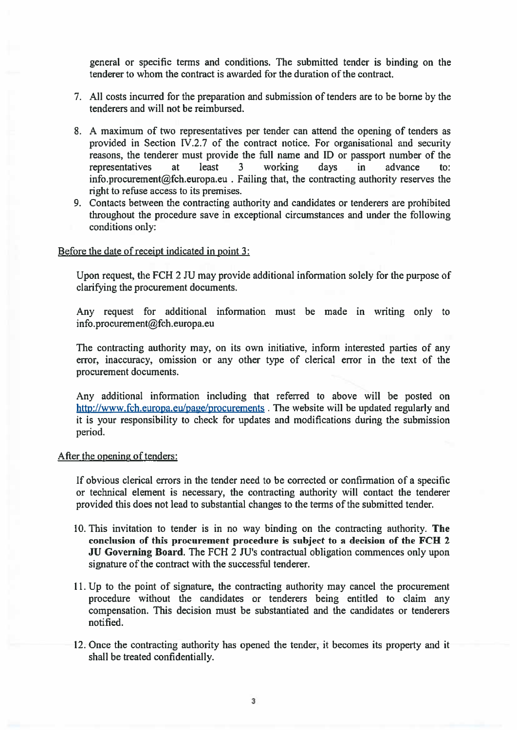general or specific terms and conditions. The submitted tender is binding on the tenderer to whom the contract is awarded for the duration of the contract.

- 7. All costs incurred for the preparation and submission of tenders are to be borne by the tenderers and will not be reimbursed.
- 8. A maximum of two representatives per tender can attend the opening of tenders as provided in Section IV.2.7 of the contract notice. For organisational and security reasons, the tenderer must provide the full name and ID or passpor<sup>t</sup> number of the representatives at least 3 working days in advance to: info.procurement@fch.europa.eu . Failing that, the contracting authority reserves the right to refuse access to its premises.
- 9. Contacts between the contracting authority and candidates or tenderers are prohibited throughout the procedure save in exceptional circumstances and under the following conditions only:

## Before the date of receipt indicated in point 3:

Upon request, the FCH 2 JU may provide additional information solely for the purpose of clarifying the procuremen<sup>t</sup> documents.

Any request for additional information must be made in writing only to info.procurement@fch.europa.eu

The contracting authority may, on its own initiative, inform interested parties of any error, inaccuracy, omission or any other type of clerical error in the text of the procuremen<sup>t</sup> documents.

Any additional information including that referred to above will be posted on http://www.fch.europa.eu/page/procurements . The website will be updated regularly and it is your responsibility to check for updates and modifications during the submission period.

## Afler the opening of tenders:

If obvious clerical errors in the tender need to be corrected or confirmation of <sup>a</sup> specific or technical element is necessary, the contracting authority will contact the tenderer provided this does not lead to substantial changes to the terms of the submitted tender.

- 10. This invitation to tender is in no way binding on the contracting authority. The conclusion of this procuremen<sup>t</sup> procedure is subject to <sup>a</sup> decision of the FCH 2 JU Governing Board. The FCH 2 JU's contractual obligation commences only upon signature of the contract with the successful tenderer.
- 11. Up to the point of signature, the contracting authority may cancel the procuremen<sup>t</sup> procedure without the candidates or tenderers being entitled to claim any compensation. This decision must be substantiated and the candidates or tenderers notified.
- 12. Once the contracting authority has opened the tender, it becomes its property and it shall be treated confidentially.